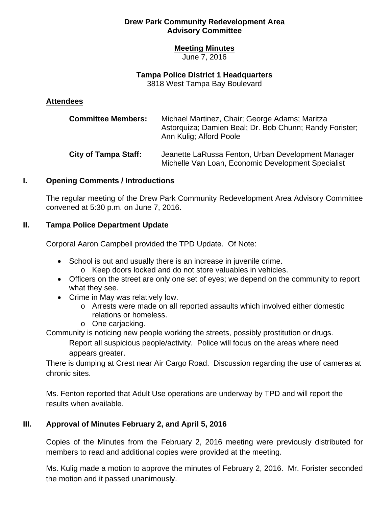### **Meeting Minutes**

June 7, 2016

#### **Tampa Police District 1 Headquarters**

3818 West Tampa Bay Boulevard

#### **Attendees**

| <b>Committee Members:</b>   | Michael Martinez, Chair; George Adams; Maritza<br>Astorquiza; Damien Beal; Dr. Bob Chunn; Randy Forister;<br>Ann Kulig: Alford Poole |
|-----------------------------|--------------------------------------------------------------------------------------------------------------------------------------|
| <b>City of Tampa Staff:</b> | Jeanette LaRussa Fenton, Urban Development Manager<br>Michelle Van Loan, Economic Development Specialist                             |

### **I. Opening Comments / Introductions**

The regular meeting of the Drew Park Community Redevelopment Area Advisory Committee convened at 5:30 p.m. on June 7, 2016.

### **II. Tampa Police Department Update**

Corporal Aaron Campbell provided the TPD Update. Of Note:

- School is out and usually there is an increase in juvenile crime.
	- o Keep doors locked and do not store valuables in vehicles.
- Officers on the street are only one set of eyes; we depend on the community to report what they see.
- Crime in May was relatively low.
	- o Arrests were made on all reported assaults which involved either domestic relations or homeless.
	- o One carjacking.

Community is noticing new people working the streets, possibly prostitution or drugs.

Report all suspicious people/activity. Police will focus on the areas where need appears greater.

There is dumping at Crest near Air Cargo Road. Discussion regarding the use of cameras at chronic sites.

Ms. Fenton reported that Adult Use operations are underway by TPD and will report the results when available.

### **III. Approval of Minutes February 2, and April 5, 2016**

Copies of the Minutes from the February 2, 2016 meeting were previously distributed for members to read and additional copies were provided at the meeting.

Ms. Kulig made a motion to approve the minutes of February 2, 2016. Mr. Forister seconded the motion and it passed unanimously.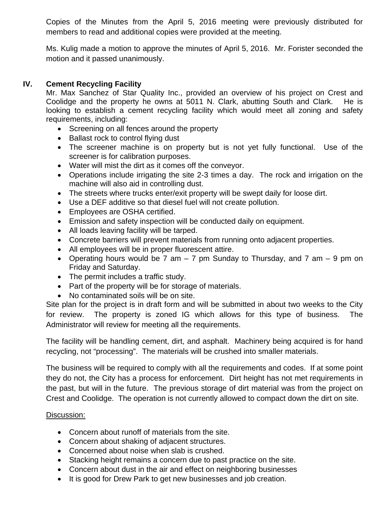Copies of the Minutes from the April 5, 2016 meeting were previously distributed for members to read and additional copies were provided at the meeting.

Ms. Kulig made a motion to approve the minutes of April 5, 2016. Mr. Forister seconded the motion and it passed unanimously.

## **IV. Cement Recycling Facility**

Mr. Max Sanchez of Star Quality Inc., provided an overview of his project on Crest and Coolidge and the property he owns at 5011 N. Clark, abutting South and Clark. He is looking to establish a cement recycling facility which would meet all zoning and safety requirements, including:

- Screening on all fences around the property
- Ballast rock to control flying dust
- The screener machine is on property but is not yet fully functional. Use of the screener is for calibration purposes.
- Water will mist the dirt as it comes off the conveyor.
- Operations include irrigating the site 2-3 times a day. The rock and irrigation on the machine will also aid in controlling dust.
- The streets where trucks enter/exit property will be swept daily for loose dirt.
- Use a DEF additive so that diesel fuel will not create pollution.
- Employees are OSHA certified.
- Emission and safety inspection will be conducted daily on equipment.
- All loads leaving facility will be tarped.
- Concrete barriers will prevent materials from running onto adjacent properties.
- All employees will be in proper fluorescent attire.
- Operating hours would be 7 am  $-$  7 pm Sunday to Thursday, and 7 am  $-$  9 pm on Friday and Saturday.
- The permit includes a traffic study.
- Part of the property will be for storage of materials.
- No contaminated soils will be on site.

Site plan for the project is in draft form and will be submitted in about two weeks to the City for review. The property is zoned IG which allows for this type of business. The Administrator will review for meeting all the requirements.

The facility will be handling cement, dirt, and asphalt. Machinery being acquired is for hand recycling, not "processing". The materials will be crushed into smaller materials.

The business will be required to comply with all the requirements and codes. If at some point they do not, the City has a process for enforcement. Dirt height has not met requirements in the past, but will in the future. The previous storage of dirt material was from the project on Crest and Coolidge. The operation is not currently allowed to compact down the dirt on site.

### Discussion:

- Concern about runoff of materials from the site.
- Concern about shaking of adjacent structures.
- Concerned about noise when slab is crushed.
- Stacking height remains a concern due to past practice on the site.
- Concern about dust in the air and effect on neighboring businesses
- It is good for Drew Park to get new businesses and job creation.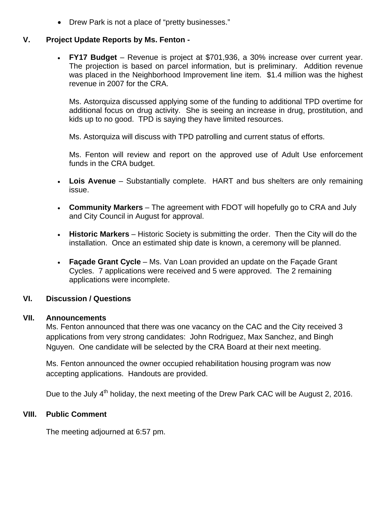• Drew Park is not a place of "pretty businesses."

# **V. Project Update Reports by Ms. Fenton -**

• FY17 Budget – Revenue is project at \$701,936, a 30% increase over current year. The projection is based on parcel information, but is preliminary. Addition revenue was placed in the Neighborhood Improvement line item. \$1.4 million was the highest revenue in 2007 for the CRA.

Ms. Astorquiza discussed applying some of the funding to additional TPD overtime for additional focus on drug activity. She is seeing an increase in drug, prostitution, and kids up to no good. TPD is saying they have limited resources.

Ms. Astorquiza will discuss with TPD patrolling and current status of efforts.

Ms. Fenton will review and report on the approved use of Adult Use enforcement funds in the CRA budget.

- **Lois Avenue** Substantially complete. HART and bus shelters are only remaining issue.
- **Community Markers** The agreement with FDOT will hopefully go to CRA and July and City Council in August for approval.
- **Historic Markers** Historic Society is submitting the order. Then the City will do the installation. Once an estimated ship date is known, a ceremony will be planned.
- **Façade Grant Cycle** Ms. Van Loan provided an update on the Façade Grant Cycles. 7 applications were received and 5 were approved. The 2 remaining applications were incomplete.

# **VI. Discussion / Questions**

### **VII. Announcements**

Ms. Fenton announced that there was one vacancy on the CAC and the City received 3 applications from very strong candidates: John Rodriguez, Max Sanchez, and Bingh Nguyen. One candidate will be selected by the CRA Board at their next meeting.

Ms. Fenton announced the owner occupied rehabilitation housing program was now accepting applications. Handouts are provided.

Due to the July 4<sup>th</sup> holiday, the next meeting of the Drew Park CAC will be August 2, 2016.

# **VIII. Public Comment**

The meeting adjourned at 6:57 pm.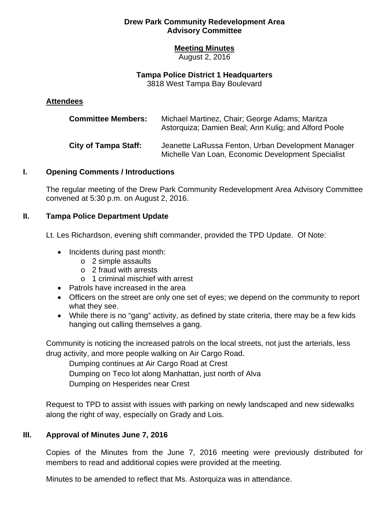### **Meeting Minutes**

August 2, 2016

#### **Tampa Police District 1 Headquarters**

3818 West Tampa Bay Boulevard

### **Attendees**

| <b>Committee Members:</b>   | Michael Martinez, Chair; George Adams; Maritza<br>Astorquiza; Damien Beal; Ann Kulig; and Alford Poole   |
|-----------------------------|----------------------------------------------------------------------------------------------------------|
| <b>City of Tampa Staff:</b> | Jeanette LaRussa Fenton, Urban Development Manager<br>Michelle Van Loan, Economic Development Specialist |

### **I. Opening Comments / Introductions**

The regular meeting of the Drew Park Community Redevelopment Area Advisory Committee convened at 5:30 p.m. on August 2, 2016.

## **II. Tampa Police Department Update**

Lt. Les Richardson, evening shift commander, provided the TPD Update. Of Note:

- Incidents during past month:
	- o 2 simple assaults
	- o 2 fraud with arrests
	- o 1 criminal mischief with arrest
- Patrols have increased in the area
- Officers on the street are only one set of eyes; we depend on the community to report what they see.
- While there is no "gang" activity, as defined by state criteria, there may be a few kids hanging out calling themselves a gang.

Community is noticing the increased patrols on the local streets, not just the arterials, less drug activity, and more people walking on Air Cargo Road.

Dumping continues at Air Cargo Road at Crest Dumping on Teco lot along Manhattan, just north of Alva Dumping on Hesperides near Crest

Request to TPD to assist with issues with parking on newly landscaped and new sidewalks along the right of way, especially on Grady and Lois.

# **III. Approval of Minutes June 7, 2016**

Copies of the Minutes from the June 7, 2016 meeting were previously distributed for members to read and additional copies were provided at the meeting.

Minutes to be amended to reflect that Ms. Astorquiza was in attendance.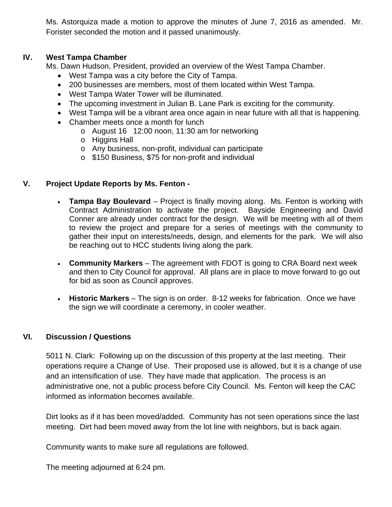Ms. Astorquiza made a motion to approve the minutes of June 7, 2016 as amended. Mr. Forister seconded the motion and it passed unanimously.

## **IV. West Tampa Chamber**

Ms. Dawn Hudson, President, provided an overview of the West Tampa Chamber.

- West Tampa was a city before the City of Tampa.
- 200 businesses are members, most of them located within West Tampa.
- West Tampa Water Tower will be illuminated.
- The upcoming investment in Julian B. Lane Park is exciting for the community.
- West Tampa will be a vibrant area once again in near future with all that is happening.
- Chamber meets once a month for lunch
	- o August 16 12:00 noon, 11:30 am for networking
	- o Higgins Hall
	- o Any business, non-profit, individual can participate
	- o \$150 Business, \$75 for non-profit and individual

## **V. Project Update Reports by Ms. Fenton -**

- **Tampa Bay Boulevard** Project is finally moving along. Ms. Fenton is working with Contract Administration to activate the project. Bayside Engineering and David Conner are already under contract for the design. We will be meeting with all of them to review the project and prepare for a series of meetings with the community to gather their input on interests/needs, design, and elements for the park. We will also be reaching out to HCC students living along the park.
- **Community Markers** The agreement with FDOT is going to CRA Board next week and then to City Council for approval. All plans are in place to move forward to go out for bid as soon as Council approves.
- **Historic Markers** The sign is on order. 8-12 weeks for fabrication. Once we have the sign we will coordinate a ceremony, in cooler weather.

### **VI. Discussion / Questions**

5011 N. Clark: Following up on the discussion of this property at the last meeting. Their operations require a Change of Use. Their proposed use is allowed, but it is a change of use and an intensification of use. They have made that application. The process is an administrative one, not a public process before City Council. Ms. Fenton will keep the CAC informed as information becomes available.

Dirt looks as if it has been moved/added. Community has not seen operations since the last meeting. Dirt had been moved away from the lot line with neighbors, but is back again.

Community wants to make sure all regulations are followed.

The meeting adjourned at 6:24 pm.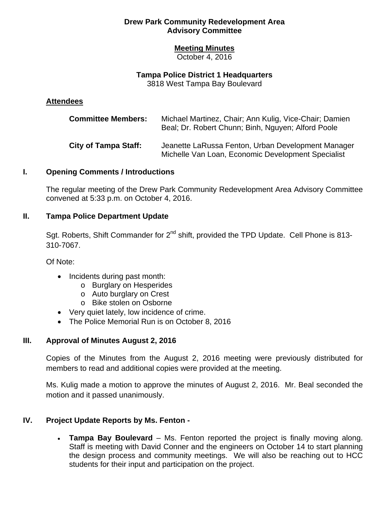### **Meeting Minutes**

October 4, 2016

### **Tampa Police District 1 Headquarters**

3818 West Tampa Bay Boulevard

### **Attendees**

| <b>Committee Members:</b>   | Michael Martinez, Chair; Ann Kulig, Vice-Chair; Damien<br>Beal; Dr. Robert Chunn; Binh, Nguyen; Alford Poole |
|-----------------------------|--------------------------------------------------------------------------------------------------------------|
| <b>City of Tampa Staff:</b> | Jeanette LaRussa Fenton, Urban Development Manager<br>Michelle Van Loan, Economic Development Specialist     |

## **I. Opening Comments / Introductions**

The regular meeting of the Drew Park Community Redevelopment Area Advisory Committee convened at 5:33 p.m. on October 4, 2016.

# **II. Tampa Police Department Update**

Sgt. Roberts, Shift Commander for 2<sup>nd</sup> shift, provided the TPD Update. Cell Phone is 813-310-7067.

Of Note:

- Incidents during past month:
	- o Burglary on Hesperides
	- o Auto burglary on Crest
	- o Bike stolen on Osborne
- Very quiet lately, low incidence of crime.
- The Police Memorial Run is on October 8, 2016

# **III. Approval of Minutes August 2, 2016**

Copies of the Minutes from the August 2, 2016 meeting were previously distributed for members to read and additional copies were provided at the meeting.

Ms. Kulig made a motion to approve the minutes of August 2, 2016. Mr. Beal seconded the motion and it passed unanimously.

# **IV. Project Update Reports by Ms. Fenton -**

**Tampa Bay Boulevard** – Ms. Fenton reported the project is finally moving along. **Tampa Bay Boulevard** – Ms. Fenton reported the project is finally moving along. Staff is meeting with David Conner and the engineers on October 14 to start planning the design process and community meetings. We will also be reaching out to HCC students for their input and participation on the project.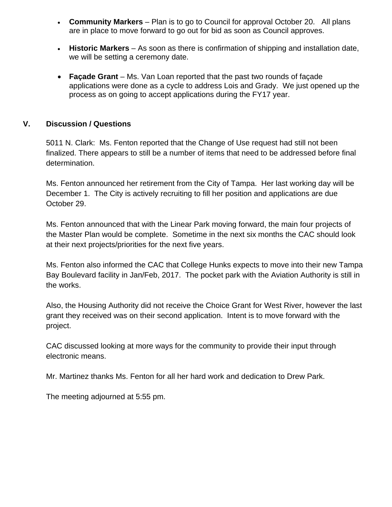- **Community Markers** Plan is to go to Council for approval October 20. All plans are in place to move forward to go out for bid as soon as Council approves.
- **Historic Markers** As soon as there is confirmation of shipping and installation date, we will be setting a ceremony date.
- **Façade Grant**  Ms. Van Loan reported that the past two rounds of façade applications were done as a cycle to address Lois and Grady. We just opened up the process as on going to accept applications during the FY17 year.

# **V. Discussion / Questions**

5011 N. Clark: Ms. Fenton reported that the Change of Use request had still not been finalized. There appears to still be a number of items that need to be addressed before final determination.

Ms. Fenton announced her retirement from the City of Tampa. Her last working day will be December 1. The City is actively recruiting to fill her position and applications are due October 29.

Ms. Fenton announced that with the Linear Park moving forward, the main four projects of the Master Plan would be complete. Sometime in the next six months the CAC should look at their next projects/priorities for the next five years.

Ms. Fenton also informed the CAC that College Hunks expects to move into their new Tampa Bay Boulevard facility in Jan/Feb, 2017. The pocket park with the Aviation Authority is still in the works.

Also, the Housing Authority did not receive the Choice Grant for West River, however the last grant they received was on their second application. Intent is to move forward with the project.

CAC discussed looking at more ways for the community to provide their input through electronic means.

Mr. Martinez thanks Ms. Fenton for all her hard work and dedication to Drew Park.

The meeting adjourned at 5:55 pm.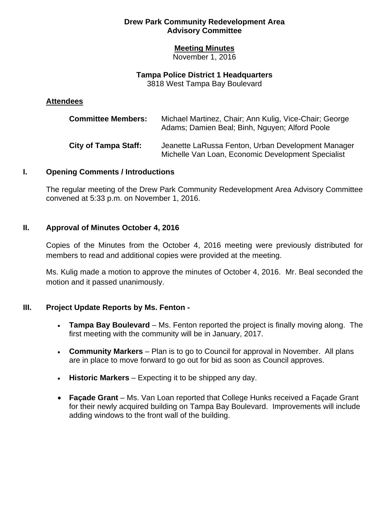### **Meeting Minutes**

November 1, 2016

### **Tampa Police District 1 Headquarters**

3818 West Tampa Bay Boulevard

### **Attendees**

| <b>Committee Members:</b>   | Michael Martinez, Chair; Ann Kulig, Vice-Chair; George<br>Adams; Damien Beal; Binh, Nguyen; Alford Poole |
|-----------------------------|----------------------------------------------------------------------------------------------------------|
| <b>City of Tampa Staff:</b> | Jeanette LaRussa Fenton, Urban Development Manager<br>Michelle Van Loan, Economic Development Specialist |

## **I. Opening Comments / Introductions**

The regular meeting of the Drew Park Community Redevelopment Area Advisory Committee convened at 5:33 p.m. on November 1, 2016.

## **II. Approval of Minutes October 4, 2016**

Copies of the Minutes from the October 4, 2016 meeting were previously distributed for members to read and additional copies were provided at the meeting.

Ms. Kulig made a motion to approve the minutes of October 4, 2016. Mr. Beal seconded the motion and it passed unanimously.

# **III. Project Update Reports by Ms. Fenton -**

- **Tampa Bay Boulevard** Ms. Fenton reported the project is finally moving along. The first meeting with the community will be in January, 2017.
- **Community Markers** Plan is to go to Council for approval in November. All plans are in place to move forward to go out for bid as soon as Council approves.
- **Historic Markers** Expecting it to be shipped any day.
- **Façade Grant**  Ms. Van Loan reported that College Hunks received a Façade Grant for their newly acquired building on Tampa Bay Boulevard. Improvements will include adding windows to the front wall of the building.